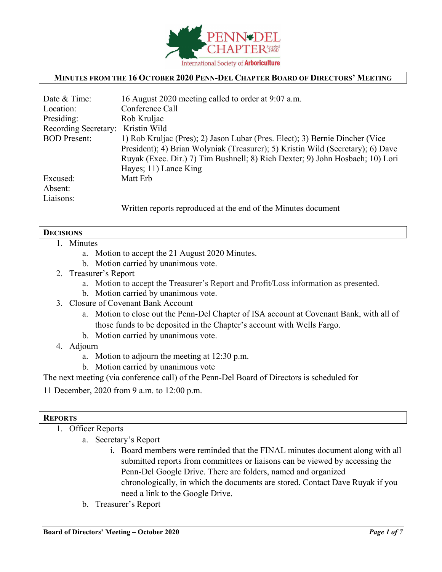

### **MINUTES FROM THE 16 OCTOBER 2020 PENN-DEL CHAPTER BOARD OF DIRECTORS' MEETING**

| Date & Time:                      | 16 August 2020 meeting called to order at 9:07 a.m.                             |  |  |
|-----------------------------------|---------------------------------------------------------------------------------|--|--|
| Location:                         | Conference Call                                                                 |  |  |
| Presiding:                        | Rob Kruljac                                                                     |  |  |
| Recording Secretary: Kristin Wild |                                                                                 |  |  |
| <b>BOD</b> Present:               | 1) Rob Kruljac (Pres); 2) Jason Lubar (Pres. Elect); 3) Bernie Dincher (Vice    |  |  |
|                                   | President); 4) Brian Wolyniak (Treasurer); 5) Kristin Wild (Secretary); 6) Dave |  |  |
|                                   | Ruyak (Exec. Dir.) 7) Tim Bushnell; 8) Rich Dexter; 9) John Hosbach; 10) Lori   |  |  |
|                                   | Hayes; 11) Lance King                                                           |  |  |
| Excused:                          | Matt Erb                                                                        |  |  |
| Absent:                           |                                                                                 |  |  |
| Liaisons:                         |                                                                                 |  |  |
|                                   | Written reports reproduced at the end of the Minutes document                   |  |  |

#### **DECISIONS**

- 1. Minutes
	- a. Motion to accept the 21 August 2020 Minutes.
	- b. Motion carried by unanimous vote.
- 2. Treasurer's Report
	- a. Motion to accept the Treasurer's Report and Profit/Loss information as presented.
	- b. Motion carried by unanimous vote.
- 3. Closure of Covenant Bank Account
	- a. Motion to close out the Penn-Del Chapter of ISA account at Covenant Bank, with all of those funds to be deposited in the Chapter's account with Wells Fargo.
	- b. Motion carried by unanimous vote.
- 4. Adjourn
	- a. Motion to adjourn the meeting at 12:30 p.m.
	- b. Motion carried by unanimous vote
- The next meeting (via conference call) of the Penn-Del Board of Directors is scheduled for
- 11 December, 2020 from 9 a.m. to 12:00 p.m.

### **REPORTS**

- 1. Officer Reports
	- a. Secretary's Report
		- i. Board members were reminded that the FINAL minutes document along with all submitted reports from committees or liaisons can be viewed by accessing the Penn-Del Google Drive. There are folders, named and organized chronologically, in which the documents are stored. Contact Dave Ruyak if you need a link to the Google Drive.
	- b. Treasurer's Report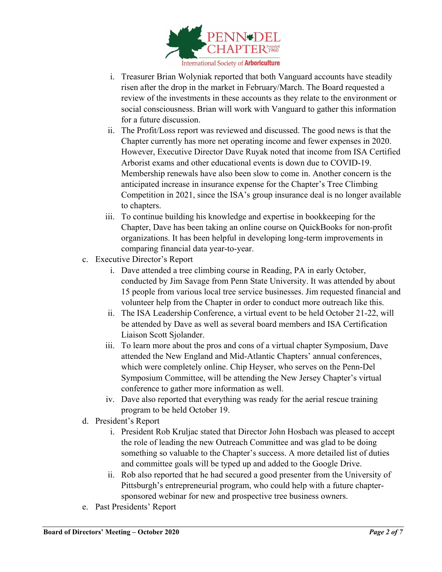

- i. Treasurer Brian Wolyniak reported that both Vanguard accounts have steadily risen after the drop in the market in February/March. The Board requested a review of the investments in these accounts as they relate to the environment or social consciousness. Brian will work with Vanguard to gather this information for a future discussion.
- ii. The Profit/Loss report was reviewed and discussed. The good news is that the Chapter currently has more net operating income and fewer expenses in 2020. However, Executive Director Dave Ruyak noted that income from ISA Certified Arborist exams and other educational events is down due to COVID-19. Membership renewals have also been slow to come in. Another concern is the anticipated increase in insurance expense for the Chapter's Tree Climbing Competition in 2021, since the ISA's group insurance deal is no longer available to chapters.
- iii. To continue building his knowledge and expertise in bookkeeping for the Chapter, Dave has been taking an online course on QuickBooks for non-profit organizations. It has been helpful in developing long-term improvements in comparing financial data year-to-year.
- c. Executive Director's Report
	- i. Dave attended a tree climbing course in Reading, PA in early October, conducted by Jim Savage from Penn State University. It was attended by about 15 people from various local tree service businesses. Jim requested financial and volunteer help from the Chapter in order to conduct more outreach like this.
	- ii. The ISA Leadership Conference, a virtual event to be held October 21-22, will be attended by Dave as well as several board members and ISA Certification Liaison Scott Sjolander.
	- iii. To learn more about the pros and cons of a virtual chapter Symposium, Dave attended the New England and Mid-Atlantic Chapters' annual conferences, which were completely online. Chip Heyser, who serves on the Penn-Del Symposium Committee, will be attending the New Jersey Chapter's virtual conference to gather more information as well.
	- iv. Dave also reported that everything was ready for the aerial rescue training program to be held October 19.
- d. President's Report
	- i. President Rob Kruljac stated that Director John Hosbach was pleased to accept the role of leading the new Outreach Committee and was glad to be doing something so valuable to the Chapter's success. A more detailed list of duties and committee goals will be typed up and added to the Google Drive.
	- ii. Rob also reported that he had secured a good presenter from the University of Pittsburgh's entrepreneurial program, who could help with a future chaptersponsored webinar for new and prospective tree business owners.
- e. Past Presidents' Report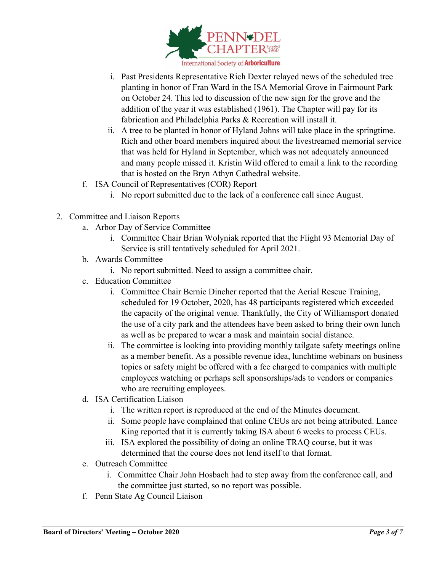

- i. Past Presidents Representative Rich Dexter relayed news of the scheduled tree planting in honor of Fran Ward in the ISA Memorial Grove in Fairmount Park on October 24. This led to discussion of the new sign for the grove and the addition of the year it was established (1961). The Chapter will pay for its fabrication and Philadelphia Parks & Recreation will install it.
- ii. A tree to be planted in honor of Hyland Johns will take place in the springtime. Rich and other board members inquired about the livestreamed memorial service that was held for Hyland in September, which was not adequately announced and many people missed it. Kristin Wild offered to email a link to the recording that is hosted on the Bryn Athyn Cathedral website.
- f. ISA Council of Representatives (COR) Report
	- i. No report submitted due to the lack of a conference call since August.
- 2. Committee and Liaison Reports
	- a. Arbor Day of Service Committee
		- i. Committee Chair Brian Wolyniak reported that the Flight 93 Memorial Day of Service is still tentatively scheduled for April 2021.
	- b. Awards Committee
		- i. No report submitted. Need to assign a committee chair.
	- c. Education Committee
		- i. Committee Chair Bernie Dincher reported that the Aerial Rescue Training, scheduled for 19 October, 2020, has 48 participants registered which exceeded the capacity of the original venue. Thankfully, the City of Williamsport donated the use of a city park and the attendees have been asked to bring their own lunch as well as be prepared to wear a mask and maintain social distance.
		- ii. The committee is looking into providing monthly tailgate safety meetings online as a member benefit. As a possible revenue idea, lunchtime webinars on business topics or safety might be offered with a fee charged to companies with multiple employees watching or perhaps sell sponsorships/ads to vendors or companies who are recruiting employees.
	- d. ISA Certification Liaison
		- i. The written report is reproduced at the end of the Minutes document.
		- ii. Some people have complained that online CEUs are not being attributed. Lance King reported that it is currently taking ISA about 6 weeks to process CEUs.
		- iii. ISA explored the possibility of doing an online TRAQ course, but it was determined that the course does not lend itself to that format.
	- e. Outreach Committee
		- i. Committee Chair John Hosbach had to step away from the conference call, and the committee just started, so no report was possible.
	- f. Penn State Ag Council Liaison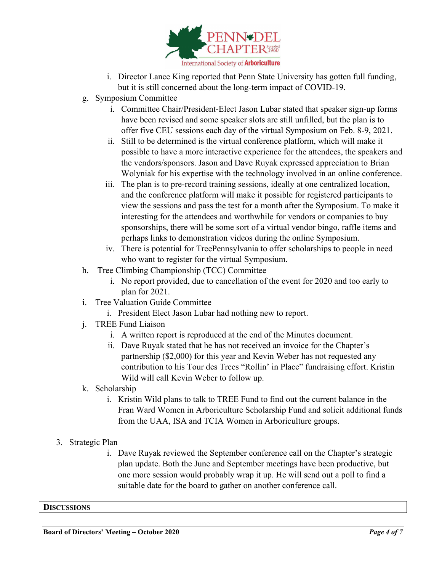

- i. Director Lance King reported that Penn State University has gotten full funding, but it is still concerned about the long-term impact of COVID-19.
- g. Symposium Committee
	- i. Committee Chair/President-Elect Jason Lubar stated that speaker sign-up forms have been revised and some speaker slots are still unfilled, but the plan is to offer five CEU sessions each day of the virtual Symposium on Feb. 8-9, 2021.
	- ii. Still to be determined is the virtual conference platform, which will make it possible to have a more interactive experience for the attendees, the speakers and the vendors/sponsors. Jason and Dave Ruyak expressed appreciation to Brian Wolyniak for his expertise with the technology involved in an online conference.
	- iii. The plan is to pre-record training sessions, ideally at one centralized location, and the conference platform will make it possible for registered participants to view the sessions and pass the test for a month after the Symposium. To make it interesting for the attendees and worthwhile for vendors or companies to buy sponsorships, there will be some sort of a virtual vendor bingo, raffle items and perhaps links to demonstration videos during the online Symposium.
	- iv. There is potential for TreePennsylvania to offer scholarships to people in need who want to register for the virtual Symposium.
- h. Tree Climbing Championship (TCC) Committee
	- i. No report provided, due to cancellation of the event for 2020 and too early to plan for 2021.
- i. Tree Valuation Guide Committee
	- i. President Elect Jason Lubar had nothing new to report.
- j. TREE Fund Liaison
	- i. A written report is reproduced at the end of the Minutes document.
	- ii. Dave Ruyak stated that he has not received an invoice for the Chapter's partnership (\$2,000) for this year and Kevin Weber has not requested any contribution to his Tour des Trees "Rollin' in Place" fundraising effort. Kristin Wild will call Kevin Weber to follow up.
- k. Scholarship
	- i. Kristin Wild plans to talk to TREE Fund to find out the current balance in the Fran Ward Women in Arboriculture Scholarship Fund and solicit additional funds from the UAA, ISA and TCIA Women in Arboriculture groups.
- 3. Strategic Plan
	- i. Dave Ruyak reviewed the September conference call on the Chapter's strategic plan update. Both the June and September meetings have been productive, but one more session would probably wrap it up. He will send out a poll to find a suitable date for the board to gather on another conference call.

**DISCUSSIONS**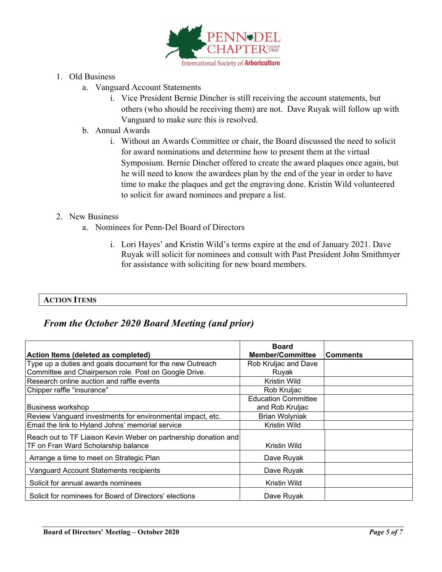

- 1. Old Business
	- a. Vanguard Account Statements
		- i. Vice President Bernie Dincher is still receiving the account statements, but others (who should be receiving them) are not. Dave Ruyak will follow up with Vanguard to make sure this is resolved.
	- b. Annual Awards
		- i. Without an Awards Committee or chair, the Board discussed the need to solicit for award nominations and determine how to present them at the virtual Symposium. Bernie Dincher offered to create the award plaques once again, but he will need to know the awardees plan by the end of the year in order to have time to make the plaques and get the engraving done. Kristin Wild volunteered to solicit for award nominees and prepare a list.

### 2. New Business

- a. Nominees for Penn-Del Board of Directors
	- i. Lori Hayes' and Kristin Wild's terms expire at the end of January 2021. Dave Ruyak will solicit for nominees and consult with Past President John Smithmyer for assistance with soliciting for new board members.

### **ACTION ITEMS**

## *From the October 2020 Board Meeting (and prior)*

|                                                                 | <b>Board</b>               |                 |
|-----------------------------------------------------------------|----------------------------|-----------------|
| Action Items (deleted as completed)                             | <b>Member/Committee</b>    | <b>Comments</b> |
| Type up a duties and goals document for the new Outreach        | Rob Kruljac and Dave       |                 |
| Committee and Chairperson role. Post on Google Drive.           | Ruyak                      |                 |
| Research online auction and raffle events                       | Kristin Wild               |                 |
| Chipper raffle "insurance"                                      | Rob Kruljac                |                 |
|                                                                 | <b>Education Committee</b> |                 |
| <b>Business workshop</b>                                        | and Rob Kruljac            |                 |
| Review Vanguard investments for environmental impact, etc.      | Brian Wolyniak             |                 |
| Email the link to Hyland Johns' memorial service                | Kristin Wild               |                 |
| Reach out to TF Liaison Kevin Weber on partnership donation and |                            |                 |
| TF on Fran Ward Scholarship balance                             | Kristin Wild               |                 |
| Arrange a time to meet on Strategic Plan                        | Dave Ruyak                 |                 |
| Vanguard Account Statements recipients                          | Dave Ruyak                 |                 |
| Solicit for annual awards nominees                              | Kristin Wild               |                 |
| Solicit for nominees for Board of Directors' elections          | Dave Ruyak                 |                 |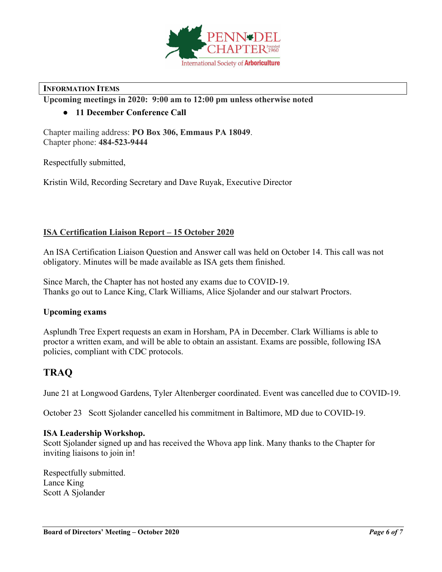

### **INFORMATION ITEMS**

**Upcoming meetings in 2020: 9:00 am to 12:00 pm unless otherwise noted**

## ● **11 December Conference Call**

Chapter mailing address: **PO Box 306, Emmaus PA 18049**. Chapter phone: **484-523-9444**

Respectfully submitted,

Kristin Wild, Recording Secretary and Dave Ruyak, Executive Director

### **ISA Certification Liaison Report – 15 October 2020**

An ISA Certification Liaison Question and Answer call was held on October 14. This call was not obligatory. Minutes will be made available as ISA gets them finished.

Since March, the Chapter has not hosted any exams due to COVID-19. Thanks go out to Lance King, Clark Williams, Alice Sjolander and our stalwart Proctors.

### **Upcoming exams**

Asplundh Tree Expert requests an exam in Horsham, PA in December. Clark Williams is able to proctor a written exam, and will be able to obtain an assistant. Exams are possible, following ISA policies, compliant with CDC protocols.

# **TRAQ**

June 21 at Longwood Gardens, Tyler Altenberger coordinated. Event was cancelled due to COVID-19.

October 23 Scott Sjolander cancelled his commitment in Baltimore, MD due to COVID-19.

### **ISA Leadership Workshop.**

Scott Sjolander signed up and has received the Whova app link. Many thanks to the Chapter for inviting liaisons to join in!

Respectfully submitted. Lance King Scott A Sjolander